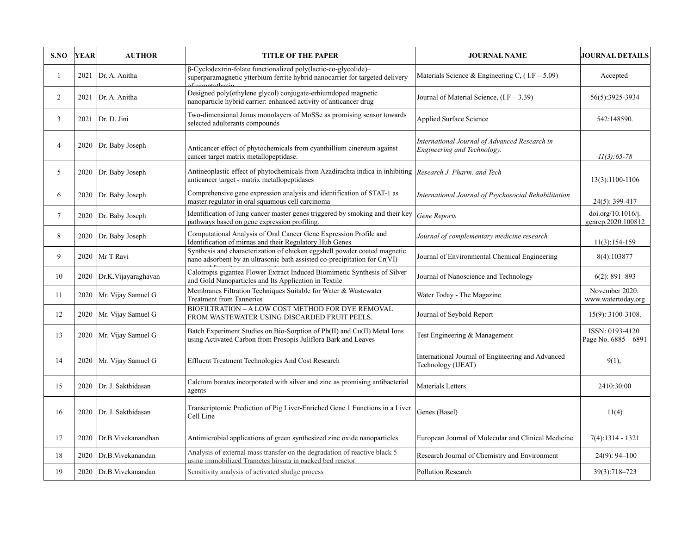| S.NO            | <b>YEAR</b> | <b>AUTHOR</b>       | <b>TITLE OF THE PAPER</b>                                                                                                                                 | <b>JOURNAL NAME</b>                                                          | <b>JOURNAL DETAILS</b>                   |
|-----------------|-------------|---------------------|-----------------------------------------------------------------------------------------------------------------------------------------------------------|------------------------------------------------------------------------------|------------------------------------------|
| 1               | 2021        | Dr. A. Anitha       | β-Cyclodextrin-folate functionalized poly(lactic-co-glycolide)-<br>superparamagnetic ytterbium ferrite hybrid nanocarrier for targeted delivery           | Materials Science & Engineering C, $(1.F - 5.09)$                            | Accepted                                 |
| $\overline{2}$  | 2021        | Dr. A. Anitha       | Designed poly(ethylene glycol) conjugate-erbiumdoped magnetic<br>nanoparticle hybrid carrier: enhanced activity of anticancer drug                        | Journal of Material Science, (I.F - 3.39)                                    | 56(5):3925-3934                          |
| 3               | 2021        | Dr. D. Jini         | Two-dimensional Janus monolayers of MoSSe as promising sensor towards<br>selected adulterants compounds                                                   | Applied Surface Science                                                      | 542:148590.                              |
| $\overline{4}$  | 2020        | Dr. Baby Joseph     | Anticancer effect of phytochemicals from cyanthillium cinereum against<br>cancer target matrix metallopeptidase.                                          | International Journal of Advanced Research in<br>Engineering and Technology. | $11(3): 65-78$                           |
| 5               | 2020        | Dr. Baby Joseph     | Antineoplastic effect of phytochemicals from Azadirachta indica in inhibiting Research J. Pharm. and Tech<br>anticancer target - matrix metallopeptidases |                                                                              | 13(3):1100-1106                          |
| 6               | 2020        | Dr. Baby Joseph     | Comprehensive gene expression analysis and identification of STAT-1 as<br>master regulator in oral squamous cell carcinoma                                | International Journal of Psychosocial Rehabilitation                         | 24(5): 399-417                           |
| $7\overline{ }$ | 2020        | Dr. Baby Joseph     | Identification of lung cancer master genes triggered by smoking and their key<br>pathways based on gene expression profiling                              | Gene Reports                                                                 | doi.org/10.1016/j.<br>genrep.2020.100812 |
| 8               | 2020        | Dr. Baby Joseph     | Computational Analysis of Oral Cancer Gene Expression Profile and<br>Identification of mirnas and their Regulatory Hub Genes                              | Journal of complementary medicine research                                   | $11(3):154-159$                          |
| 9               | 2020        | Mr T Ravi           | Synthesis and characterization of chicken eggshell powder coated magnetic<br>nano adsorbent by an ultrasonic bath assisted co-precipitation for Cr(VI)    | Journal of Environmental Chemical Engineering                                | 8(4):103877                              |
| 10              | 2020        | Dr.K.Vijayaraghavan | Calotropis gigantea Flower Extract Induced Biomimetic Synthesis of Silver<br>and Gold Nanoparticles and Its Application in Textile                        | Journal of Nanoscience and Technology                                        | $6(2): 891 - 893$                        |
| 11              | 2020        | Mr. Vijay Samuel G  | Membranes Filtration Techniques Suitable for Water & Wastewater<br><b>Treatment from Tanneries</b>                                                        | Water Today - The Magazine                                                   | November 2020.<br>www.watertoday.org     |
| 12              | 2020        | Mr. Vijay Samuel G  | BIOFILTRATION – A LOW COST METHOD FOR DYE REMOVAL<br>FROM WASTEWATER USING DISCARDED FRUIT PEELS.                                                         | Journal of Seybold Report                                                    | 15(9): 3100-3108.                        |
| 13              | 2020        | Mr. Vijay Samuel G  | Batch Experiment Studies on Bio-Sorption of Pb(II) and Cu(II) Metal Ions<br>using Activated Carbon from Prosopis Juliflora Bark and Leaves                | Test Engineering & Management                                                | ISSN: 0193-4120<br>Page No. 6885 - 6891  |
| 14              | 2020        | Mr. Vijay Samuel G  | Effluent Treatment Technologies And Cost Research                                                                                                         | International Journal of Engineering and Advanced<br>Technology (IJEAT)      | 9(1),                                    |
| 15              | 2020        | Dr. J. Sakthidasan  | Calcium borates incorporated with silver and zinc as promising antibacterial<br>agents                                                                    | Materials Letters                                                            | 2410:30:00                               |
| 16              | 2020        | Dr. J. Sakthidasan  | Transcriptomic Prediction of Pig Liver-Enriched Gene 1 Functions in a Liver<br>Cell Line                                                                  | Genes (Basel)                                                                | 11(4)                                    |
| 17              | 2020        | Dr.B. Vivekanandhan | Antimicrobial applications of green synthesized zinc oxide nanoparticles                                                                                  | European Journal of Molecular and Clinical Medicine                          | $7(4):1314 - 1321$                       |
| 18              | 2020        | Dr.B. Vivekanandan  | Analysis of external mass transfer on the degradation of reactive black 5<br>using immobilized Trametes hirsuta in packed bed reactor                     | Research Journal of Chemistry and Environment                                | 24(9): 94-100                            |
| 19              | 2020        | Dr.B. Vivekanandan  | Sensitivity analysis of activated sludge process                                                                                                          | Pollution Research                                                           | 39(3):718-723                            |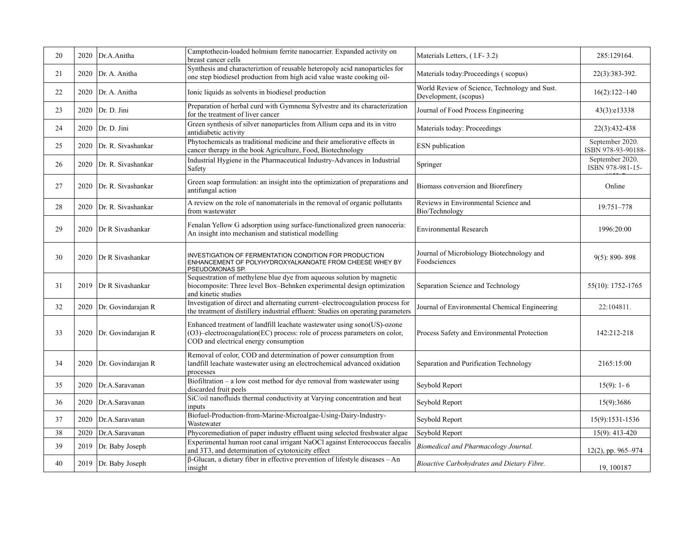| 20 | 2020 | Dr.A.Anitha        | Camptothecin-loaded holmium ferrite nanocarrier. Expanded activity on<br>breast cancer cells                                                                                                  | Materials Letters, (I.F-3.2)                                           | 285:129164.                           |
|----|------|--------------------|-----------------------------------------------------------------------------------------------------------------------------------------------------------------------------------------------|------------------------------------------------------------------------|---------------------------------------|
| 21 | 2020 | Dr. A. Anitha      | Synthesis and characteriztion of reusable heteropoly acid nanoparticles for<br>one step biodiesel production from high acid value waste cooking oil-                                          | Materials today: Proceedings (scopus)                                  | 22(3):383-392.                        |
| 22 | 2020 | Dr. A. Anitha      | Ionic liquids as solvents in biodiesel production                                                                                                                                             | World Review of Science, Technology and Sust.<br>Development, (scopus) | $16(2):122-140$                       |
| 23 | 2020 | Dr. D. Jini        | Preparation of herbal curd with Gymnema Sylvestre and its characterization<br>for the treatment of liver cancer                                                                               | Journal of Food Process Engineering                                    | 43(3):e13338                          |
| 24 | 2020 | Dr. D. Jini        | Green synthesis of silver nanoparticles from Allium cepa and its in vitro<br>antidiabetic activity                                                                                            | Materials today: Proceedings                                           | 22(3):432-438                         |
| 25 | 2020 | Dr. R. Sivashankar | Phytochemicals as traditional medicine and their ameliorative effects in<br>cancer therapy in the book Agriculture, Food, Biotechnology                                                       | ESN publication                                                        | September 2020.<br>ISBN 978-93-90188- |
| 26 | 2020 | Dr. R. Sivashankar | Industrial Hygiene in the Pharmaceutical Industry-Advances in Industrial<br>Safety                                                                                                            | Springer                                                               | September 2020.<br>ISBN 978-981-15-   |
| 27 | 2020 | Dr. R. Sivashankar | Green soap formulation: an insight into the optimization of preparations and<br>antifungal action                                                                                             | Biomass conversion and Biorefinery                                     | Online                                |
| 28 | 2020 | Dr. R. Sivashankar | A review on the role of nanomaterials in the removal of organic pollutants<br>from wastewater                                                                                                 | Reviews in Environmental Science and<br>Bio/Technology                 | 19:751-778                            |
| 29 | 2020 | Dr R Sivashankar   | Fenalan Yellow G adsorption using surface-functionalized green nanoceria:<br>An insight into mechanism and statistical modelling                                                              | <b>Environmental Research</b>                                          | 1996:20:00                            |
| 30 | 2020 | Dr R Sivashankar   | INVESTIGATION OF FERMENTATION CONDITION FOR PRODUCTION<br>ENHANCEMENT OF POLYHYDROXYALKANOATE FROM CHEESE WHEY BY<br>PSEUDOMONAS SP.                                                          | Journal of Microbiology Biotechnology and<br>Foodsciences              | $9(5): 890 - 898$                     |
| 31 | 2019 | Dr R Sivashankar   | Sequestration of methylene blue dye from aqueous solution by magnetic<br>biocomposite: Three level Box-Behnken experimental design optimization<br>and kinetic studies                        | Separation Science and Technology                                      | 55(10): 1752-1765                     |
| 32 | 2020 | Dr. Govindarajan R | Investigation of direct and alternating current-electrocoagulation process for<br>the treatment of distillery industrial effluent: Studies on operating parameters                            | Journal of Environmental Chemical Engineering                          | 22:104811.                            |
| 33 | 2020 | Dr. Govindarajan R | Enhanced treatment of landfill leachate wastewater using sono(US)-ozone<br>(O3)-electrocoagulation(EC) process: role of process parameters on color,<br>COD and electrical energy consumption | Process Safety and Environmental Protection                            | 142:212-218                           |
| 34 | 2020 | Dr. Govindarajan R | Removal of color, COD and determination of power consumption from<br>landfill leachate wastewater using an electrochemical advanced oxidation<br>processes                                    | Separation and Purification Technology                                 | 2165:15:00                            |
| 35 | 2020 | Dr.A.Saravanan     | Biofiltration $-$ a low cost method for dye removal from wastewater using<br>discarded fruit peels                                                                                            | Seybold Report                                                         | $15(9)$ : 1 - 6                       |
| 36 | 2020 | Dr.A.Saravanan     | SiC/oil nanofluids thermal conductivity at Varying concentration and heat<br>inputs                                                                                                           | Seybold Report                                                         | 15(9):3686                            |
| 37 | 2020 | Dr.A.Saravanan     | Biofuel-Production-from-Marine-Microalgae-Using-Dairy-Industry-<br>Wastewater                                                                                                                 | Seybold Report                                                         | 15(9):1531-1536                       |
| 38 | 2020 | Dr.A.Saravanan     | Phycoremediation of paper industry effluent using selected freshwater algae                                                                                                                   | Seybold Report                                                         | 15(9): 413-420                        |
| 39 | 2019 | Dr. Baby Joseph    | Experimental human root canal irrigant NaOCl against Enterococcus faecalis<br>and 3T3, and determination of cytotoxicity effect                                                               | Biomedical and Pharmacology Journal.                                   | $12(2)$ , pp. 965-974                 |
| 40 | 2019 | Dr. Baby Joseph    | $\beta$ -Glucan, a dietary fiber in effective prevention of lifestyle diseases - An<br>insight                                                                                                | Bioactive Carbohydrates and Dietary Fibre.                             | 19, 100187                            |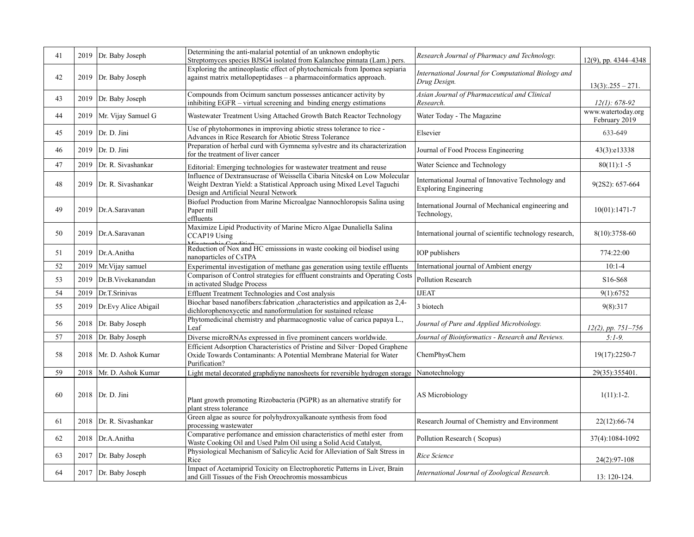| 41 | 2019 | Dr. Baby Joseph           | Determining the anti-malarial potential of an unknown endophytic<br>Streptomyces species BJSG4 isolated from Kalanchoe pinnata (Lam.) pers.                                                 | Research Journal of Pharmacy and Technology.                                       | $12(9)$ , pp. $4344-4348$           |
|----|------|---------------------------|---------------------------------------------------------------------------------------------------------------------------------------------------------------------------------------------|------------------------------------------------------------------------------------|-------------------------------------|
| 42 | 2019 | Dr. Baby Joseph           | Exploring the antineoplastic effect of phytochemicals from Ipomea sepiaria<br>against matrix metallopeptidases - a pharmacoinformatics approach.                                            | International Journal for Computational Biology and<br>Drug Design.                | $13(3)$ : $255 - 271$ .             |
| 43 | 2019 | Dr. Baby Joseph           | Compounds from Ocimum sanctum possesses anticancer activity by<br>inhibiting EGFR – virtual screening and binding energy estimations                                                        | Asian Journal of Pharmaceutical and Clinical<br>Research.                          | $12(1): 678-92$                     |
| 44 | 2019 | Mr. Vijay Samuel G        | Wastewater Treatment Using Attached Growth Batch Reactor Technology                                                                                                                         | Water Today - The Magazine                                                         | www.watertoday.org<br>February 2019 |
| 45 | 2019 | Dr. D. Jini               | Use of phytohormones in improving abiotic stress tolerance to rice -<br>Advances in Rice Research for Abiotic Stress Tolerance                                                              | Elsevier                                                                           | 633-649                             |
| 46 | 2019 | Dr. D. Jini               | Preparation of herbal curd with Gymnema sylvestre and its characterization<br>for the treatment of liver cancer                                                                             | Journal of Food Process Engineering                                                | 43(3):e13338                        |
| 47 | 2019 | Dr. R. Sivashankar        | Editorial: Emerging technologies for wastewater treatment and reuse                                                                                                                         | Water Science and Technology                                                       | $80(11):1 - 5$                      |
| 48 |      | 2019   Dr. R. Sivashankar | Influence of Dextransucrase of Weissella Cibaria Nitcsk4 on Low Molecular<br>Weight Dextran Yield: a Statistical Approach using Mixed Level Taguchi<br>Design and Artificial Neural Network | International Journal of Innovative Technology and<br><b>Exploring Engineering</b> | 9(2S2): 657-664                     |
| 49 |      | 2019   Dr.A.Saravanan     | Biofuel Production from Marine Microalgae Nannochloropsis Salina using<br>Paper mill<br>effluents                                                                                           | International Journal of Mechanical engineering and<br>Technology,                 | $10(01):1471-7$                     |
| 50 | 2019 | Dr.A.Saravanan            | Maximize Lipid Productivity of Marine Micro Algae Dunaliella Salina<br>CCAP19 Using                                                                                                         | International journal of scientific technology research,                           | 8(10):3758-60                       |
| 51 | 2019 | Dr.A.Anitha               | Reduction of Nox and HC emisssions in waste cooking oil biodisel using<br>nanoparticles of CsTPA                                                                                            | <b>IOP</b> publishers                                                              | 774:22:00                           |
| 52 | 2019 | Mr. Vijay samuel          | Experimental investigation of methane gas generation using textile effluents                                                                                                                | International journal of Ambient energy                                            | $10:1 - 4$                          |
| 53 | 2019 | Dr.B. Vivekanandan        | Comparison of Control strategies for effluent constraints and Operating Costs<br>in activated Sludge Process                                                                                | <b>Pollution Research</b>                                                          | S <sub>16</sub> -S <sub>68</sub>    |
| 54 | 2019 | Dr.T.Srinivas             | Effluent Treatment Technologies and Cost analysis                                                                                                                                           | <b>IJEAT</b>                                                                       | 9(1): 6752                          |
| 55 | 2019 | Dr.Evy Alice Abigail      | Biochar based nanofibers: fabrication , characteristics and appilcation as 2,4-<br>dichlorophenoxycetic and nanoformulation for sustained release                                           | 3 biotech                                                                          | 9(8):317                            |
| 56 | 2018 | Dr. Baby Joseph           | Phytomedicinal chemistry and pharmacognostic value of carica papaya L.,<br>Leaf                                                                                                             | Journal of Pure and Applied Microbiology.                                          | $12(2)$ , pp. 751-756               |
| 57 | 2018 | Dr. Baby Joseph           | Diverse microRNAs expressed in five prominent cancers worldwide.                                                                                                                            | Journal of Bioinformatics - Research and Reviews.                                  | $5:1-9.$                            |
| 58 | 2018 | Mr. D. Ashok Kumar        | Efficient Adsorption Characteristics of Pristine and Silver-Doped Graphene<br>Oxide Towards Contaminants: A Potential Membrane Material for Water<br>Purification?                          | ChemPhysChem                                                                       | 19(17):2250-7                       |
| 59 | 2018 | Mr. D. Ashok Kumar        | Light metal decorated graphdiyne nanosheets for reversible hydrogen storage                                                                                                                 | Nanotechnology                                                                     | 29(35):355401                       |
| 60 |      | 2018   Dr. D. Jini        | Plant growth promoting Rizobacteria (PGPR) as an alternative stratify for<br>plant stress tolerance                                                                                         | <b>AS Microbiology</b>                                                             | $1(11):1-2.$                        |
| 61 | 2018 | Dr. R. Sivashankar        | Green algae as source for polyhydroxyalkanoate synthesis from food<br>processing wastewater                                                                                                 | Research Journal of Chemistry and Environment                                      | 22(12):66-74                        |
| 62 | 2018 | Dr.A.Anitha               | Comparative perfomance and emission characteristics of methl ester from<br>Waste Cooking Oil and Used Palm Oil using a Solid Acid Catalyst,                                                 | Pollution Research (Scopus)                                                        | 37(4):1084-1092                     |
| 63 | 2017 | Dr. Baby Joseph           | Physiological Mechanism of Salicylic Acid for Alleviation of Salt Stress in<br>Rice                                                                                                         | Rice Science                                                                       | 24(2):97-108                        |
| 64 |      | 2017 Dr. Baby Joseph      | Impact of Acetamiprid Toxicity on Electrophoretic Patterns in Liver, Brain<br>and Gill Tissues of the Fish Oreochromis mossambicus                                                          | International Journal of Zoological Research.                                      | 13: 120-124.                        |